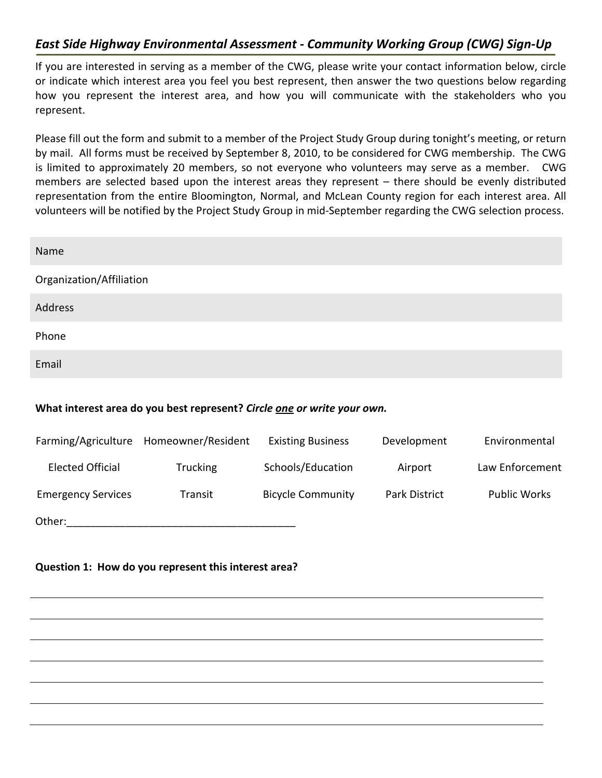## *East Side Highway Environmental Assessment - Community Working Group (CWG) Sign-Up*

If you are interested in serving as a member of the CWG, please write your contact information below, circle or indicate which interest area you feel you best represent, then answer the two questions below regarding how you represent the interest area, and how you will communicate with the stakeholders who you represent.

Please fill out the form and submit to a member of the Project Study Group during tonight's meeting, or return by mail. All forms must be received by September 8, 2010, to be considered for CWG membership. The CWG is limited to approximately 20 members, so not everyone who volunteers may serve as a member. CWG members are selected based upon the interest areas they represent – there should be evenly distributed representation from the entire Bloomington, Normal, and McLean County region for each interest area. All volunteers will be notified by the Project Study Group in mid-September regarding the CWG selection process.

| Name                                                                    |                    |                          |                      |                     |
|-------------------------------------------------------------------------|--------------------|--------------------------|----------------------|---------------------|
| Organization/Affiliation                                                |                    |                          |                      |                     |
| Address                                                                 |                    |                          |                      |                     |
| Phone                                                                   |                    |                          |                      |                     |
| Email                                                                   |                    |                          |                      |                     |
| What interest area do you best represent? Circle one or write your own. |                    |                          |                      |                     |
| Farming/Agriculture                                                     | Homeowner/Resident | <b>Existing Business</b> | Development          | Environmental       |
| <b>Elected Official</b>                                                 | Trucking           | Schools/Education        | Airport              | Law Enforcement     |
| <b>Emergency Services</b>                                               | Transit            | <b>Bicycle Community</b> | <b>Park District</b> | <b>Public Works</b> |
| Other:                                                                  |                    |                          |                      |                     |

## **Question 1: How do you represent this interest area?**